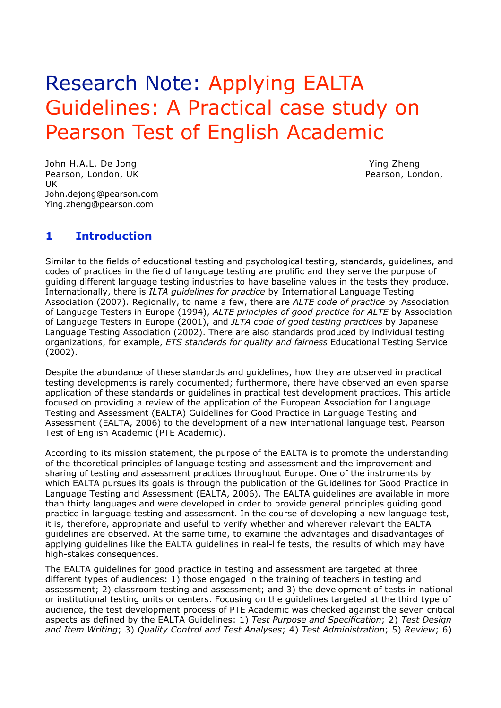# Research Note: Applying EALTA Guidelines: A Practical case study on Pearson Test of English Academic

John H.A.L. De Jong Ying Zheng Ying Zheng Pearson, London, UK **Pearson, London, Pearson, London, Pearson**, London, UK John.dejong@pearson.com Ying.zheng@pearson.com

# **1 Introduction**

Similar to the fields of educational testing and psychological testing, standards, guidelines, and codes of practices in the field of language testing are prolific and they serve the purpose of guiding different language testing industries to have baseline values in the tests they produce. Internationally, there is *ILTA guidelines for practice* by International Language Testing Association (2007). Regionally, to name a few, there are *ALTE code of practice* by Association of Language Testers in Europe (1994), *ALTE principles of good practice for ALTE* by Association of Language Testers in Europe (2001), and *JLTA code of good testing practices* by Japanese Language Testing Association (2002). There are also standards produced by individual testing organizations, for example, *ETS standards for quality and fairness* Educational Testing Service (2002).

Despite the abundance of these standards and guidelines, how they are observed in practical testing developments is rarely documented; furthermore, there have observed an even sparse application of these standards or guidelines in practical test development practices. This article focused on providing a review of the application of the European Association for Language Testing and Assessment (EALTA) Guidelines for Good Practice in Language Testing and Assessment (EALTA, 2006) to the development of a new international language test, Pearson Test of English Academic (PTE Academic).

According to its mission statement, the purpose of the EALTA is to promote the understanding of the theoretical principles of language testing and assessment and the improvement and sharing of testing and assessment practices throughout Europe. One of the instruments by which EALTA pursues its goals is through the publication of the Guidelines for Good Practice in Language Testing and Assessment (EALTA, 2006). The EALTA guidelines are available in more than thirty languages and were developed in order to provide general principles guiding good practice in language testing and assessment. In the course of developing a new language test, it is, therefore, appropriate and useful to verify whether and wherever relevant the EALTA guidelines are observed. At the same time, to examine the advantages and disadvantages of applying guidelines like the EALTA guidelines in real-life tests, the results of which may have high-stakes consequences.

The EALTA guidelines for good practice in testing and assessment are targeted at three different types of audiences: 1) those engaged in the training of teachers in testing and assessment; 2) classroom testing and assessment; and 3) the development of tests in national or institutional testing units or centers. Focusing on the guidelines targeted at the third type of audience, the test development process of PTE Academic was checked against the seven critical aspects as defined by the EALTA Guidelines: 1) *Test Purpose and Specification*; 2) *Test Design and Item Writing*; 3) *Quality Control and Test Analyses*; 4) *Test Administration*; 5) *Review*; 6)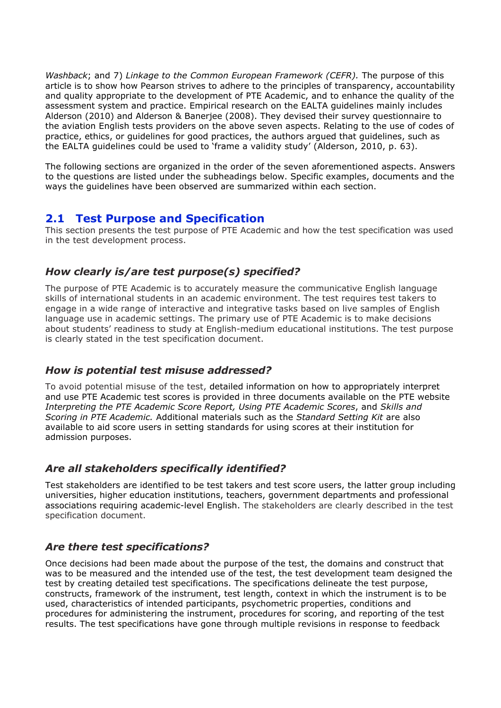*Washback*; and 7) *Linkage to the Common European Framework (CEFR).* The purpose of this article is to show how Pearson strives to adhere to the principles of transparency, accountability and quality appropriate to the development of PTE Academic, and to enhance the quality of the assessment system and practice. Empirical research on the EALTA guidelines mainly includes Alderson (2010) and Alderson & Banerjee (2008). They devised their survey questionnaire to the aviation English tests providers on the above seven aspects. Relating to the use of codes of practice, ethics, or guidelines for good practices, the authors argued that guidelines, such as the EALTA guidelines could be used to 'frame a validity study' (Alderson, 2010, p. 63).

The following sections are organized in the order of the seven aforementioned aspects. Answers to the questions are listed under the subheadings below. Specific examples, documents and the ways the guidelines have been observed are summarized within each section.

# **2.1 Test Purpose and Specification**

This section presents the test purpose of PTE Academic and how the test specification was used in the test development process.

# *How clearly is/are test purpose(s) specified?*

The purpose of PTE Academic is to accurately measure the communicative English language skills of international students in an academic environment. The test requires test takers to engage in a wide range of interactive and integrative tasks based on live samples of English language use in academic settings. The primary use of PTE Academic is to make decisions about students' readiness to study at English-medium educational institutions. The test purpose is clearly stated in the test specification document.

# *How is potential test misuse addressed?*

To avoid potential misuse of the test, detailed information on how to appropriately interpret and use PTE Academic test scores is provided in three documents available on the PTE website *Interpreting the PTE Academic Score Report, Using PTE Academic Scores*, and *Skills and Scoring in PTE Academic.* Additional materials such as the *Standard Setting Kit* are also available to aid score users in setting standards for using scores at their institution for admission purposes.

# *Are all stakeholders specifically identified?*

Test stakeholders are identified to be test takers and test score users, the latter group including universities, higher education institutions, teachers, government departments and professional associations requiring academic-level English. The stakeholders are clearly described in the test specification document.

# *Are there test specifications?*

Once decisions had been made about the purpose of the test, the domains and construct that was to be measured and the intended use of the test, the test development team designed the test by creating detailed test specifications. The specifications delineate the test purpose, constructs, framework of the instrument, test length, context in which the instrument is to be used, characteristics of intended participants, psychometric properties, conditions and procedures for administering the instrument, procedures for scoring, and reporting of the test results. The test specifications have gone through multiple revisions in response to feedback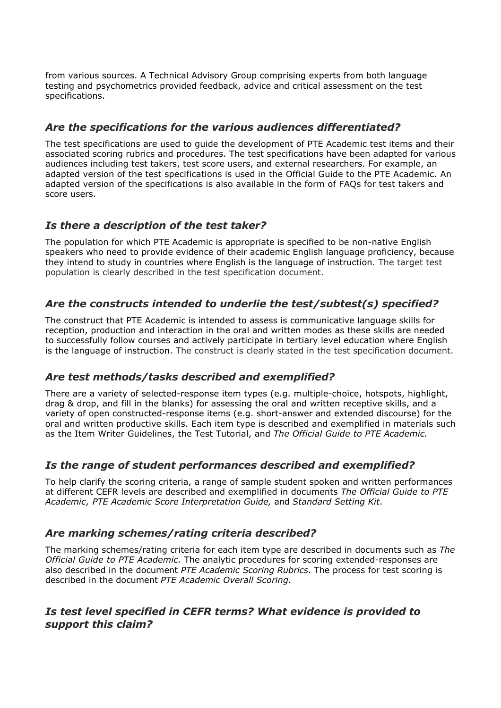from various sources. A Technical Advisory Group comprising experts from both language testing and psychometrics provided feedback, advice and critical assessment on the test specifications.

# *Are the specifications for the various audiences differentiated?*

The test specifications are used to guide the development of PTE Academic test items and their associated scoring rubrics and procedures. The test specifications have been adapted for various audiences including test takers, test score users, and external researchers. For example, an adapted version of the test specifications is used in the Official Guide to the PTE Academic. An adapted version of the specifications is also available in the form of FAQs for test takers and score users.

# *Is there a description of the test taker?*

The population for which PTE Academic is appropriate is specified to be non-native English speakers who need to provide evidence of their academic English language proficiency, because they intend to study in countries where English is the language of instruction. The target test population is clearly described in the test specification document.

# *Are the constructs intended to underlie the test/subtest(s) specified?*

The construct that PTE Academic is intended to assess is communicative language skills for reception, production and interaction in the oral and written modes as these skills are needed to successfully follow courses and actively participate in tertiary level education where English is the language of instruction. The construct is clearly stated in the test specification document.

# *Are test methods/tasks described and exemplified?*

There are a variety of selected-response item types (e.g. multiple-choice, hotspots, highlight, drag & drop, and fill in the blanks) for assessing the oral and written receptive skills, and a variety of open constructed-response items (e.g. short-answer and extended discourse) for the oral and written productive skills. Each item type is described and exemplified in materials such as the Item Writer Guidelines, the Test Tutorial, and *The Official Guide to PTE Academic.*

# *Is the range of student performances described and exemplified?*

To help clarify the scoring criteria, a range of sample student spoken and written performances at different CEFR levels are described and exemplified in documents *The Official Guide to PTE Academic*, *PTE Academic Score Interpretation Guide,* and *Standard Setting Kit*.

# *Are marking schemes/rating criteria described?*

The marking schemes/rating criteria for each item type are described in documents such as *The Official Guide to PTE Academic.* The analytic procedures for scoring extended-responses are also described in the document *PTE Academic Scoring Rubrics*. The process for test scoring is described in the document *PTE Academic Overall Scoring.* 

# *Is test level specified in CEFR terms? What evidence is provided to support this claim?*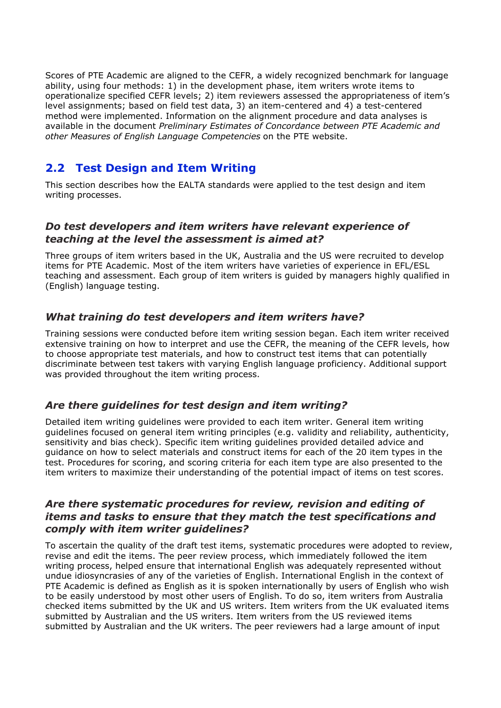Scores of PTE Academic are aligned to the CEFR, a widely recognized benchmark for language ability, using four methods: 1) in the development phase, item writers wrote items to operationalize specified CEFR levels; 2) item reviewers assessed the appropriateness of item's level assignments; based on field test data, 3) an item-centered and 4) a test-centered method were implemented. Information on the alignment procedure and data analyses is available in the document *Preliminary Estimates of Concordance between PTE Academic and other Measures of English Language Competencies* on the PTE website.

# **2.2 Test Design and Item Writing**

This section describes how the EALTA standards were applied to the test design and item writing processes.

#### *Do test developers and item writers have relevant experience of teaching at the level the assessment is aimed at?*

Three groups of item writers based in the UK, Australia and the US were recruited to develop items for PTE Academic. Most of the item writers have varieties of experience in EFL/ESL teaching and assessment. Each group of item writers is guided by managers highly qualified in (English) language testing.

# *What training do test developers and item writers have?*

Training sessions were conducted before item writing session began. Each item writer received extensive training on how to interpret and use the CEFR, the meaning of the CEFR levels, how to choose appropriate test materials, and how to construct test items that can potentially discriminate between test takers with varying English language proficiency. Additional support was provided throughout the item writing process.

# *Are there guidelines for test design and item writing?*

Detailed item writing guidelines were provided to each item writer. General item writing guidelines focused on general item writing principles (e.g. validity and reliability, authenticity, sensitivity and bias check). Specific item writing guidelines provided detailed advice and guidance on how to select materials and construct items for each of the 20 item types in the test. Procedures for scoring, and scoring criteria for each item type are also presented to the item writers to maximize their understanding of the potential impact of items on test scores.

#### *Are there systematic procedures for review, revision and editing of items and tasks to ensure that they match the test specifications and comply with item writer guidelines?*

To ascertain the quality of the draft test items, systematic procedures were adopted to review, revise and edit the items. The peer review process, which immediately followed the item writing process, helped ensure that international English was adequately represented without undue idiosyncrasies of any of the varieties of English. International English in the context of PTE Academic is defined as English as it is spoken internationally by users of English who wish to be easily understood by most other users of English. To do so, item writers from Australia checked items submitted by the UK and US writers. Item writers from the UK evaluated items submitted by Australian and the US writers. Item writers from the US reviewed items submitted by Australian and the UK writers. The peer reviewers had a large amount of input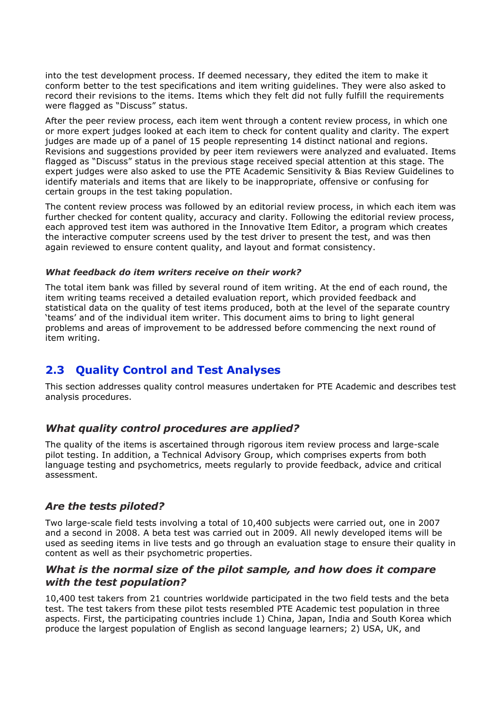into the test development process. If deemed necessary, they edited the item to make it conform better to the test specifications and item writing guidelines. They were also asked to record their revisions to the items. Items which they felt did not fully fulfill the requirements were flagged as "Discuss" status.

After the peer review process, each item went through a content review process, in which one or more expert judges looked at each item to check for content quality and clarity. The expert judges are made up of a panel of 15 people representing 14 distinct national and regions. Revisions and suggestions provided by peer item reviewers were analyzed and evaluated. Items flagged as "Discuss" status in the previous stage received special attention at this stage. The expert judges were also asked to use the PTE Academic Sensitivity & Bias Review Guidelines to identify materials and items that are likely to be inappropriate, offensive or confusing for certain groups in the test taking population.

The content review process was followed by an editorial review process, in which each item was further checked for content quality, accuracy and clarity. Following the editorial review process, each approved test item was authored in the Innovative Item Editor, a program which creates the interactive computer screens used by the test driver to present the test, and was then again reviewed to ensure content quality, and layout and format consistency.

#### *What feedback do item writers receive on their work?*

The total item bank was filled by several round of item writing. At the end of each round, the item writing teams received a detailed evaluation report, which provided feedback and statistical data on the quality of test items produced, both at the level of the separate country 'teams' and of the individual item writer. This document aims to bring to light general problems and areas of improvement to be addressed before commencing the next round of item writing.

# **2.3 Quality Control and Test Analyses**

This section addresses quality control measures undertaken for PTE Academic and describes test analysis procedures.

#### *What quality control procedures are applied?*

The quality of the items is ascertained through rigorous item review process and large-scale pilot testing. In addition, a Technical Advisory Group, which comprises experts from both language testing and psychometrics, meets regularly to provide feedback, advice and critical assessment.

#### *Are the tests piloted?*

Two large-scale field tests involving a total of 10,400 subjects were carried out, one in 2007 and a second in 2008. A beta test was carried out in 2009. All newly developed items will be used as seeding items in live tests and go through an evaluation stage to ensure their quality in content as well as their psychometric properties.

#### *What is the normal size of the pilot sample, and how does it compare with the test population?*

10,400 test takers from 21 countries worldwide participated in the two field tests and the beta test. The test takers from these pilot tests resembled PTE Academic test population in three aspects. First, the participating countries include 1) China, Japan, India and South Korea which produce the largest population of English as second language learners; 2) USA, UK, and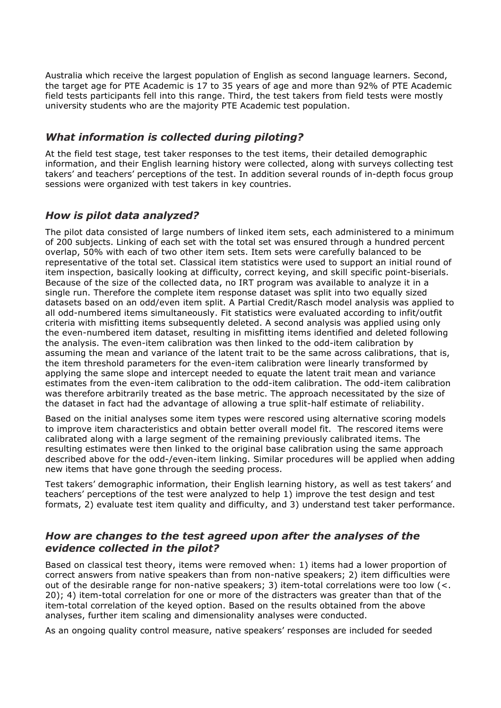Australia which receive the largest population of English as second language learners. Second, the target age for PTE Academic is 17 to 35 years of age and more than 92% of PTE Academic field tests participants fell into this range. Third, the test takers from field tests were mostly university students who are the majority PTE Academic test population.

#### *What information is collected during piloting?*

At the field test stage, test taker responses to the test items, their detailed demographic information, and their English learning history were collected, along with surveys collecting test takers' and teachers' perceptions of the test. In addition several rounds of in-depth focus group sessions were organized with test takers in key countries.

# *How is pilot data analyzed?*

The pilot data consisted of large numbers of linked item sets, each administered to a minimum of 200 subjects. Linking of each set with the total set was ensured through a hundred percent overlap, 50% with each of two other item sets. Item sets were carefully balanced to be representative of the total set. Classical item statistics were used to support an initial round of item inspection, basically looking at difficulty, correct keying, and skill specific point-biserials. Because of the size of the collected data, no IRT program was available to analyze it in a single run. Therefore the complete item response dataset was split into two equally sized datasets based on an odd/even item split. A Partial Credit/Rasch model analysis was applied to all odd-numbered items simultaneously. Fit statistics were evaluated according to infit/outfit criteria with misfitting items subsequently deleted. A second analysis was applied using only the even-numbered item dataset, resulting in misfitting items identified and deleted following the analysis. The even-item calibration was then linked to the odd-item calibration by assuming the mean and variance of the latent trait to be the same across calibrations, that is, the item threshold parameters for the even-item calibration were linearly transformed by applying the same slope and intercept needed to equate the latent trait mean and variance estimates from the even-item calibration to the odd-item calibration. The odd-item calibration was therefore arbitrarily treated as the base metric. The approach necessitated by the size of the dataset in fact had the advantage of allowing a true split-half estimate of reliability.

Based on the initial analyses some item types were rescored using alternative scoring models to improve item characteristics and obtain better overall model fit. The rescored items were calibrated along with a large segment of the remaining previously calibrated items. The resulting estimates were then linked to the original base calibration using the same approach described above for the odd-/even-item linking. Similar procedures will be applied when adding new items that have gone through the seeding process.

Test takers' demographic information, their English learning history, as well as test takers' and teachers' perceptions of the test were analyzed to help 1) improve the test design and test formats, 2) evaluate test item quality and difficulty, and 3) understand test taker performance.

# *How are changes to the test agreed upon after the analyses of the evidence collected in the pilot?*

Based on classical test theory, items were removed when: 1) items had a lower proportion of correct answers from native speakers than from non-native speakers; 2) item difficulties were out of the desirable range for non-native speakers; 3) item-total correlations were too low  $\langle \langle \rangle$ . 20); 4) item-total correlation for one or more of the distracters was greater than that of the item-total correlation of the keyed option. Based on the results obtained from the above analyses, further item scaling and dimensionality analyses were conducted.

As an ongoing quality control measure, native speakers' responses are included for seeded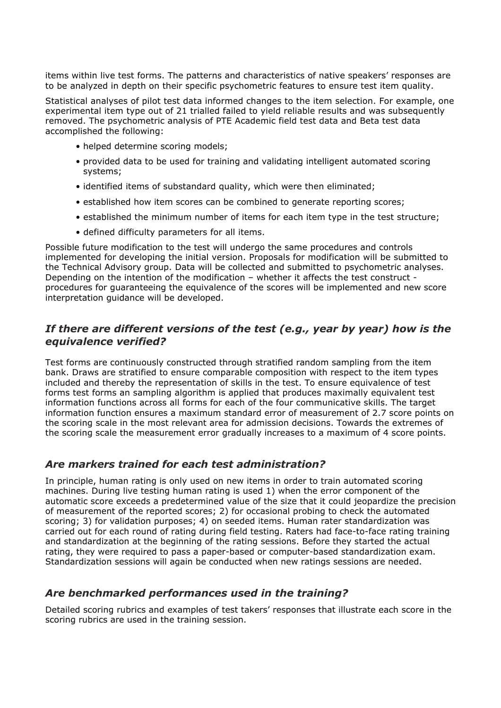items within live test forms. The patterns and characteristics of native speakers' responses are to be analyzed in depth on their specific psychometric features to ensure test item quality.

Statistical analyses of pilot test data informed changes to the item selection. For example, one experimental item type out of 21 trialled failed to yield reliable results and was subsequently removed. The psychometric analysis of PTE Academic field test data and Beta test data accomplished the following:

- helped determine scoring models;
- provided data to be used for training and validating intelligent automated scoring systems;
- identified items of substandard quality, which were then eliminated;
- established how item scores can be combined to generate reporting scores;
- established the minimum number of items for each item type in the test structure;
- defined difficulty parameters for all items.

Possible future modification to the test will undergo the same procedures and controls implemented for developing the initial version. Proposals for modification will be submitted to the Technical Advisory group. Data will be collected and submitted to psychometric analyses. Depending on the intention of the modification – whether it affects the test construct procedures for guaranteeing the equivalence of the scores will be implemented and new score interpretation guidance will be developed.

#### *If there are different versions of the test (e.g., year by year) how is the equivalence verified?*

Test forms are continuously constructed through stratified random sampling from the item bank. Draws are stratified to ensure comparable composition with respect to the item types included and thereby the representation of skills in the test. To ensure equivalence of test forms test forms an sampling algorithm is applied that produces maximally equivalent test information functions across all forms for each of the four communicative skills. The target information function ensures a maximum standard error of measurement of 2.7 score points on the scoring scale in the most relevant area for admission decisions. Towards the extremes of the scoring scale the measurement error gradually increases to a maximum of 4 score points.

# *Are markers trained for each test administration?*

In principle, human rating is only used on new items in order to train automated scoring machines. During live testing human rating is used 1) when the error component of the automatic score exceeds a predetermined value of the size that it could jeopardize the precision of measurement of the reported scores; 2) for occasional probing to check the automated scoring; 3) for validation purposes; 4) on seeded items. Human rater standardization was carried out for each round of rating during field testing. Raters had face-to-face rating training and standardization at the beginning of the rating sessions. Before they started the actual rating, they were required to pass a paper-based or computer-based standardization exam. Standardization sessions will again be conducted when new ratings sessions are needed.

#### *Are benchmarked performances used in the training?*

Detailed scoring rubrics and examples of test takers' responses that illustrate each score in the scoring rubrics are used in the training session.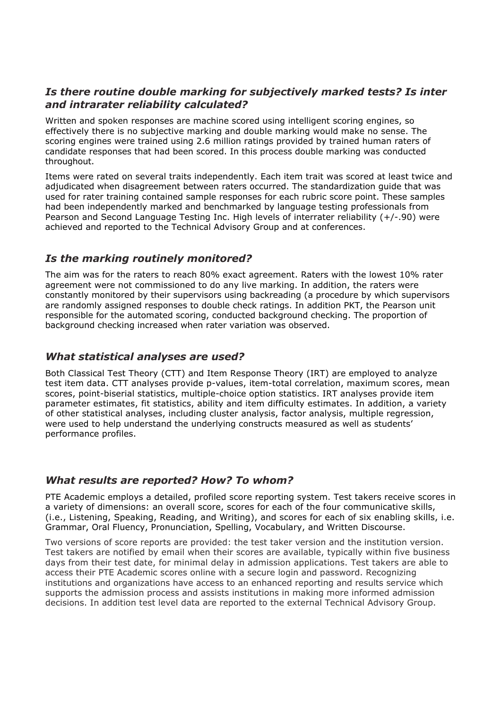## *Is there routine double marking for subjectively marked tests? Is inter and intrarater reliability calculated?*

Written and spoken responses are machine scored using intelligent scoring engines, so effectively there is no subjective marking and double marking would make no sense. The scoring engines were trained using 2.6 million ratings provided by trained human raters of candidate responses that had been scored. In this process double marking was conducted throughout.

Items were rated on several traits independently. Each item trait was scored at least twice and adjudicated when disagreement between raters occurred. The standardization guide that was used for rater training contained sample responses for each rubric score point. These samples had been independently marked and benchmarked by language testing professionals from Pearson and Second Language Testing Inc. High levels of interrater reliability (+/-.90) were achieved and reported to the Technical Advisory Group and at conferences.

# *Is the marking routinely monitored?*

The aim was for the raters to reach 80% exact agreement. Raters with the lowest 10% rater agreement were not commissioned to do any live marking. In addition, the raters were constantly monitored by their supervisors using backreading (a procedure by which supervisors are randomly assigned responses to double check ratings. In addition PKT, the Pearson unit responsible for the automated scoring, conducted background checking. The proportion of background checking increased when rater variation was observed.

#### *What statistical analyses are used?*

Both Classical Test Theory (CTT) and Item Response Theory (IRT) are employed to analyze test item data. CTT analyses provide p-values, item-total correlation, maximum scores, mean scores, point-biserial statistics, multiple-choice option statistics. IRT analyses provide item parameter estimates, fit statistics, ability and item difficulty estimates. In addition, a variety of other statistical analyses, including cluster analysis, factor analysis, multiple regression, were used to help understand the underlying constructs measured as well as students' performance profiles.

#### *What results are reported? How? To whom?*

PTE Academic employs a detailed, profiled score reporting system. Test takers receive scores in a variety of dimensions: an overall score, scores for each of the four communicative skills, (i.e., Listening, Speaking, Reading, and Writing), and scores for each of six enabling skills, i.e. Grammar, Oral Fluency, Pronunciation, Spelling, Vocabulary, and Written Discourse.

Two versions of score reports are provided: the test taker version and the institution version. Test takers are notified by email when their scores are available, typically within five business days from their test date, for minimal delay in admission applications. Test takers are able to access their PTE Academic scores online with a secure login and password. Recognizing institutions and organizations have access to an enhanced reporting and results service which supports the admission process and assists institutions in making more informed admission decisions. In addition test level data are reported to the external Technical Advisory Group.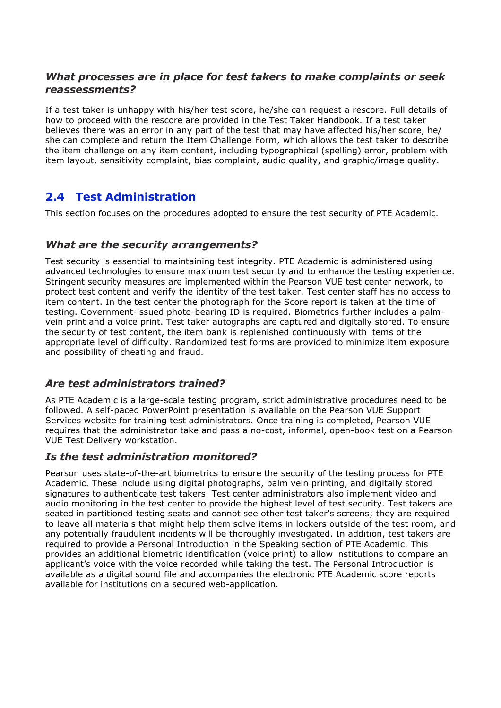# *What processes are in place for test takers to make complaints or seek reassessments?*

If a test taker is unhappy with his/her test score, he/she can request a rescore. Full details of how to proceed with the rescore are provided in the Test Taker Handbook. If a test taker believes there was an error in any part of the test that may have affected his/her score, he/ she can complete and return the Item Challenge Form, which allows the test taker to describe the item challenge on any item content, including typographical (spelling) error, problem with item layout, sensitivity complaint, bias complaint, audio quality, and graphic/image quality.

# **2.4 Test Administration**

This section focuses on the procedures adopted to ensure the test security of PTE Academic.

# *What are the security arrangements?*

Test security is essential to maintaining test integrity. PTE Academic is administered using advanced technologies to ensure maximum test security and to enhance the testing experience. Stringent security measures are implemented within the Pearson VUE test center network, to protect test content and verify the identity of the test taker. Test center staff has no access to item content. In the test center the photograph for the Score report is taken at the time of testing. Government-issued photo-bearing ID is required. Biometrics further includes a palmvein print and a voice print. Test taker autographs are captured and digitally stored. To ensure the security of test content, the item bank is replenished continuously with items of the appropriate level of difficulty. Randomized test forms are provided to minimize item exposure and possibility of cheating and fraud.

# *Are test administrators trained?*

As PTE Academic is a large-scale testing program, strict administrative procedures need to be followed. A self-paced PowerPoint presentation is available on the Pearson VUE Support Services website for training test administrators. Once training is completed, Pearson VUE requires that the administrator take and pass a no-cost, informal, open-book test on a Pearson VUE Test Delivery workstation.

#### *Is the test administration monitored?*

Pearson uses state-of-the-art biometrics to ensure the security of the testing process for PTE Academic. These include using digital photographs, palm vein printing, and digitally stored signatures to authenticate test takers. Test center administrators also implement video and audio monitoring in the test center to provide the highest level of test security. Test takers are seated in partitioned testing seats and cannot see other test taker's screens; they are required to leave all materials that might help them solve items in lockers outside of the test room, and any potentially fraudulent incidents will be thoroughly investigated. In addition, test takers are required to provide a Personal Introduction in the Speaking section of PTE Academic. This provides an additional biometric identification (voice print) to allow institutions to compare an applicant's voice with the voice recorded while taking the test. The Personal Introduction is available as a digital sound file and accompanies the electronic PTE Academic score reports available for institutions on a secured web-application.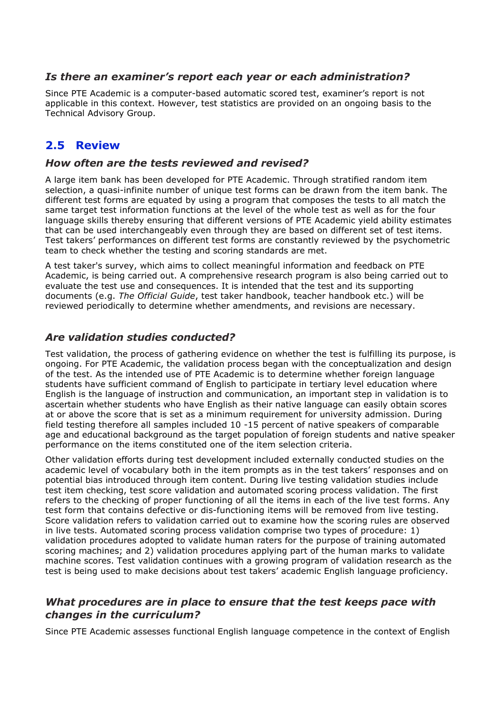#### *Is there an examiner's report each year or each administration?*

Since PTE Academic is a computer-based automatic scored test, examiner's report is not applicable in this context. However, test statistics are provided on an ongoing basis to the Technical Advisory Group.

# **2.5 Review**

#### *How often are the tests reviewed and revised?*

A large item bank has been developed for PTE Academic. Through stratified random item selection, a quasi-infinite number of unique test forms can be drawn from the item bank. The different test forms are equated by using a program that composes the tests to all match the same target test information functions at the level of the whole test as well as for the four language skills thereby ensuring that different versions of PTE Academic yield ability estimates that can be used interchangeably even through they are based on different set of test items. Test takers' performances on different test forms are constantly reviewed by the psychometric team to check whether the testing and scoring standards are met.

A test taker's survey, which aims to collect meaningful information and feedback on PTE Academic, is being carried out. A comprehensive research program is also being carried out to evaluate the test use and consequences. It is intended that the test and its supporting documents (e.g. *The Official Guide*, test taker handbook, teacher handbook etc.) will be reviewed periodically to determine whether amendments, and revisions are necessary.

#### *Are validation studies conducted?*

Test validation, the process of gathering evidence on whether the test is fulfilling its purpose, is ongoing. For PTE Academic, the validation process began with the conceptualization and design of the test. As the intended use of PTE Academic is to determine whether foreign language students have sufficient command of English to participate in tertiary level education where English is the language of instruction and communication, an important step in validation is to ascertain whether students who have English as their native language can easily obtain scores at or above the score that is set as a minimum requirement for university admission. During field testing therefore all samples included 10 -15 percent of native speakers of comparable age and educational background as the target population of foreign students and native speaker performance on the items constituted one of the item selection criteria.

Other validation efforts during test development included externally conducted studies on the academic level of vocabulary both in the item prompts as in the test takers' responses and on potential bias introduced through item content. During live testing validation studies include test item checking, test score validation and automated scoring process validation. The first refers to the checking of proper functioning of all the items in each of the live test forms. Any test form that contains defective or dis-functioning items will be removed from live testing. Score validation refers to validation carried out to examine how the scoring rules are observed in live tests. Automated scoring process validation comprise two types of procedure: 1) validation procedures adopted to validate human raters for the purpose of training automated scoring machines; and 2) validation procedures applying part of the human marks to validate machine scores. Test validation continues with a growing program of validation research as the test is being used to make decisions about test takers' academic English language proficiency.

#### *What procedures are in place to ensure that the test keeps pace with changes in the curriculum?*

Since PTE Academic assesses functional English language competence in the context of English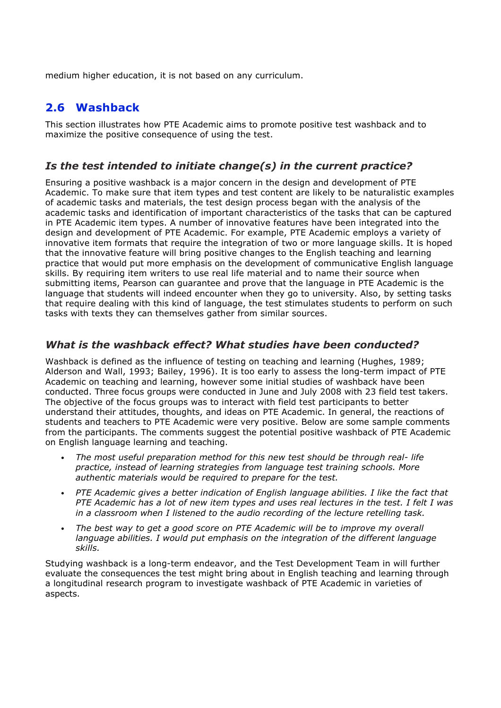medium higher education, it is not based on any curriculum.

# **2.6 Washback**

This section illustrates how PTE Academic aims to promote positive test washback and to maximize the positive consequence of using the test.

# *Is the test intended to initiate change(s) in the current practice?*

Ensuring a positive washback is a major concern in the design and development of PTE Academic. To make sure that item types and test content are likely to be naturalistic examples of academic tasks and materials, the test design process began with the analysis of the academic tasks and identification of important characteristics of the tasks that can be captured in PTE Academic item types. A number of innovative features have been integrated into the design and development of PTE Academic. For example, PTE Academic employs a variety of innovative item formats that require the integration of two or more language skills. It is hoped that the innovative feature will bring positive changes to the English teaching and learning practice that would put more emphasis on the development of communicative English language skills. By requiring item writers to use real life material and to name their source when submitting items, Pearson can guarantee and prove that the language in PTE Academic is the language that students will indeed encounter when they go to university. Also, by setting tasks that require dealing with this kind of language, the test stimulates students to perform on such tasks with texts they can themselves gather from similar sources.

# *What is the washback effect? What studies have been conducted?*

Washback is defined as the influence of testing on teaching and learning (Hughes, 1989; Alderson and Wall, 1993; Bailey, 1996). It is too early to assess the long-term impact of PTE Academic on teaching and learning, however some initial studies of washback have been conducted. Three focus groups were conducted in June and July 2008 with 23 field test takers. The objective of the focus groups was to interact with field test participants to better understand their attitudes, thoughts, and ideas on PTE Academic. In general, the reactions of students and teachers to PTE Academic were very positive. Below are some sample comments from the participants. The comments suggest the potential positive washback of PTE Academic on English language learning and teaching.

- *The most useful preparation method for this new test should be through real- life practice, instead of learning strategies from language test training schools. More authentic materials would be required to prepare for the test.*
- *PTE Academic gives a better indication of English language abilities. I like the fact that PTE Academic has a lot of new item types and uses real lectures in the test. I felt I was in a classroom when I listened to the audio recording of the lecture retelling task.*
- *The best way to get a good score on PTE Academic will be to improve my overall language abilities. I would put emphasis on the integration of the different language skills.*

Studying washback is a long-term endeavor, and the Test Development Team in will further evaluate the consequences the test might bring about in English teaching and learning through a longitudinal research program to investigate washback of PTE Academic in varieties of aspects.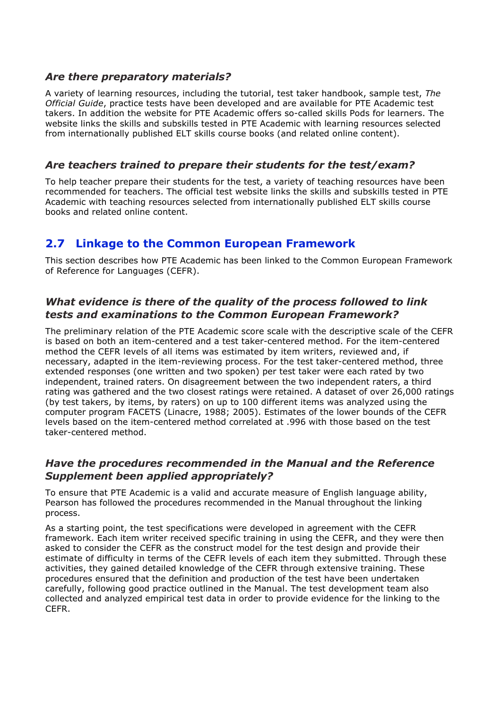#### *Are there preparatory materials?*

A variety of learning resources, including the tutorial, test taker handbook, sample test, *The Official Guide*, practice tests have been developed and are available for PTE Academic test takers. In addition the website for PTE Academic offers so-called skills Pods for learners. The website links the skills and subskills tested in PTE Academic with learning resources selected from internationally published ELT skills course books (and related online content).

#### *Are teachers trained to prepare their students for the test/exam?*

To help teacher prepare their students for the test, a variety of teaching resources have been recommended for teachers. The official test website links the skills and subskills tested in PTE Academic with teaching resources selected from internationally published ELT skills course books and related online content.

# **2.7 Linkage to the Common European Framework**

This section describes how PTE Academic has been linked to the Common European Framework of Reference for Languages (CEFR).

# *What evidence is there of the quality of the process followed to link tests and examinations to the Common European Framework?*

The preliminary relation of the PTE Academic score scale with the descriptive scale of the CEFR is based on both an item-centered and a test taker-centered method. For the item-centered method the CEFR levels of all items was estimated by item writers, reviewed and, if necessary, adapted in the item-reviewing process. For the test taker-centered method, three extended responses (one written and two spoken) per test taker were each rated by two independent, trained raters. On disagreement between the two independent raters, a third rating was gathered and the two closest ratings were retained. A dataset of over 26,000 ratings (by test takers, by items, by raters) on up to 100 different items was analyzed using the computer program FACETS (Linacre, 1988; 2005). Estimates of the lower bounds of the CEFR levels based on the item-centered method correlated at .996 with those based on the test taker-centered method.

# *Have the procedures recommended in the Manual and the Reference Supplement been applied appropriately?*

To ensure that PTE Academic is a valid and accurate measure of English language ability, Pearson has followed the procedures recommended in the Manual throughout the linking process.

As a starting point, the test specifications were developed in agreement with the CEFR framework. Each item writer received specific training in using the CEFR, and they were then asked to consider the CEFR as the construct model for the test design and provide their estimate of difficulty in terms of the CEFR levels of each item they submitted. Through these activities, they gained detailed knowledge of the CEFR through extensive training. These procedures ensured that the definition and production of the test have been undertaken carefully, following good practice outlined in the Manual. The test development team also collected and analyzed empirical test data in order to provide evidence for the linking to the CEFR.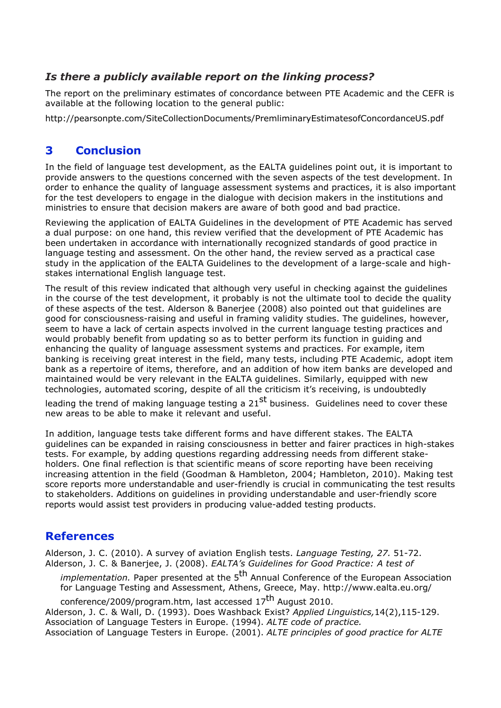# *Is there a publicly available report on the linking process?*

The report on the preliminary estimates of concordance between PTE Academic and the CEFR is available at the following location to the general public:

http://pearsonpte.com/SiteCollectionDocuments/PremliminaryEstimatesofConcordanceUS.pdf

# **3 Conclusion**

In the field of language test development, as the EALTA guidelines point out, it is important to provide answers to the questions concerned with the seven aspects of the test development. In order to enhance the quality of language assessment systems and practices, it is also important for the test developers to engage in the dialogue with decision makers in the institutions and ministries to ensure that decision makers are aware of both good and bad practice.

Reviewing the application of EALTA Guidelines in the development of PTE Academic has served a dual purpose: on one hand, this review verified that the development of PTE Academic has been undertaken in accordance with internationally recognized standards of good practice in language testing and assessment. On the other hand, the review served as a practical case study in the application of the EALTA Guidelines to the development of a large-scale and highstakes international English language test.

The result of this review indicated that although very useful in checking against the guidelines in the course of the test development, it probably is not the ultimate tool to decide the quality of these aspects of the test. Alderson & Banerjee (2008) also pointed out that guidelines are good for consciousness-raising and useful in framing validity studies. The guidelines, however, seem to have a lack of certain aspects involved in the current language testing practices and would probably benefit from updating so as to better perform its function in guiding and enhancing the quality of language assessment systems and practices. For example, item banking is receiving great interest in the field, many tests, including PTE Academic, adopt item bank as a repertoire of items, therefore, and an addition of how item banks are developed and maintained would be very relevant in the EALTA guidelines. Similarly, equipped with new technologies, automated scoring, despite of all the criticism it's receiving, is undoubtedly

leading the trend of making language testing a 21<sup>st</sup> business. Guidelines need to cover these new areas to be able to make it relevant and useful.

In addition, language tests take different forms and have different stakes. The EALTA guidelines can be expanded in raising consciousness in better and fairer practices in high-stakes tests. For example, by adding questions regarding addressing needs from different stakeholders. One final reflection is that scientific means of score reporting have been receiving increasing attention in the field (Goodman & Hambleton, 2004; Hambleton, 2010). Making test score reports more understandable and user-friendly is crucial in communicating the test results to stakeholders. Additions on guidelines in providing understandable and user-friendly score reports would assist test providers in producing value-added testing products.

# **References**

Alderson, J. C. (2010). A survey of aviation English tests. *Language Testing, 27.* 51-72. Alderson, J. C. & Banerjee, J. (2008). *EALTA's Guidelines for Good Practice: A test of* 

*implementation.* Paper presented at the 5<sup>th</sup> Annual Conference of the European Association for Language Testing and Assessment, Athens, Greece, May. http://www.ealta.eu.org/

conference/2009/program.htm, last accessed 17<sup>th</sup> August 2010. Alderson, J. C. & Wall, D. (1993). Does Washback Exist? *Applied Linguistics,*14(2),115-129. Association of Language Testers in Europe. (1994). *ALTE code of practice.* Association of Language Testers in Europe. (2001). *ALTE principles of good practice for ALTE*